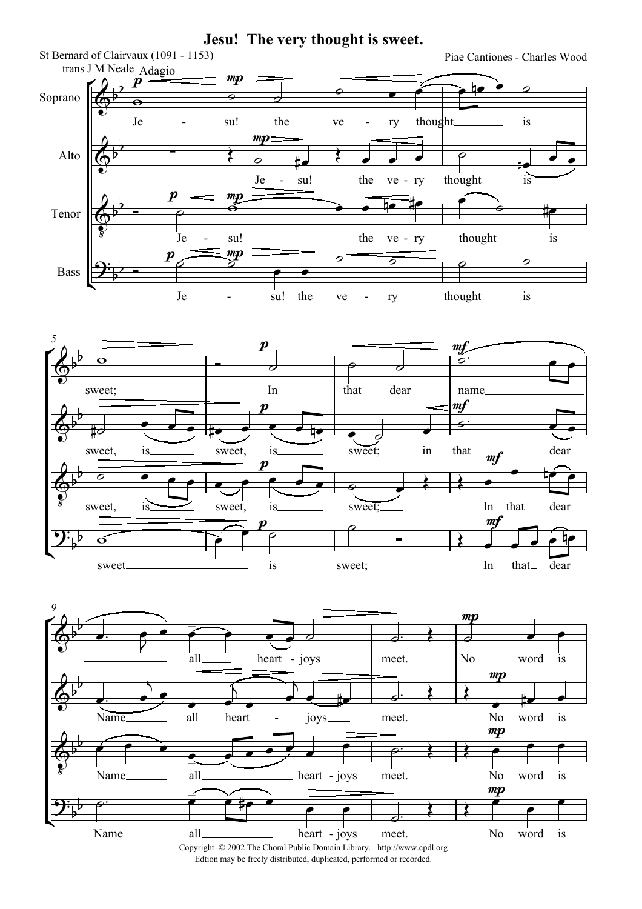